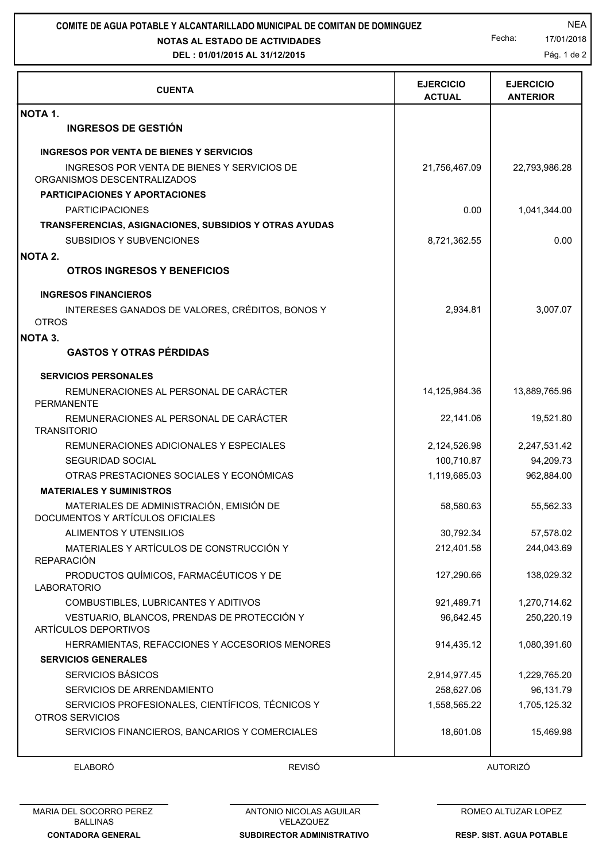## **NOTAS AL ESTADO DE ACTIVIDADES COMITE DE AGUA POTABLE Y ALCANTARILLADO MUNICIPAL DE COMITAN DE DOMINGUEZ** NEA

## **DEL : 01/01/2015 AL 31/12/2015**

Fecha: 17/01/2018

Pág. 1 de 2

| <b>CUENTA</b>                                                                | <b>EJERCICIO</b><br><b>ACTUAL</b> | <b>EJERCICIO</b><br><b>ANTERIOR</b> |
|------------------------------------------------------------------------------|-----------------------------------|-------------------------------------|
| NOTA 1.                                                                      |                                   |                                     |
| <b>INGRESOS DE GESTIÓN</b>                                                   |                                   |                                     |
| <b>INGRESOS POR VENTA DE BIENES Y SERVICIOS</b>                              |                                   |                                     |
| INGRESOS POR VENTA DE BIENES Y SERVICIOS DE<br>ORGANISMOS DESCENTRALIZADOS   | 21,756,467.09                     | 22,793,986.28                       |
| <b>PARTICIPACIONES Y APORTACIONES</b>                                        |                                   |                                     |
| <b>PARTICIPACIONES</b>                                                       | 0.00                              | 1,041,344.00                        |
| TRANSFERENCIAS, ASIGNACIONES, SUBSIDIOS Y OTRAS AYUDAS                       |                                   |                                     |
| SUBSIDIOS Y SUBVENCIONES                                                     | 8,721,362.55                      | 0.00                                |
| <b>NOTA 2.</b>                                                               |                                   |                                     |
| <b>OTROS INGRESOS Y BENEFICIOS</b>                                           |                                   |                                     |
| <b>INGRESOS FINANCIEROS</b>                                                  |                                   |                                     |
| INTERESES GANADOS DE VALORES, CRÉDITOS, BONOS Y                              | 2,934.81                          | 3,007.07                            |
| <b>OTROS</b>                                                                 |                                   |                                     |
| <b>NOTA 3.</b>                                                               |                                   |                                     |
| <b>GASTOS Y OTRAS PÉRDIDAS</b>                                               |                                   |                                     |
| <b>SERVICIOS PERSONALES</b>                                                  |                                   |                                     |
| REMUNERACIONES AL PERSONAL DE CARÁCTER<br><b>PERMANENTE</b>                  | 14,125,984.36                     | 13,889,765.96                       |
| REMUNERACIONES AL PERSONAL DE CARÁCTER<br><b>TRANSITORIO</b>                 | 22,141.06                         | 19,521.80                           |
| REMUNERACIONES ADICIONALES Y ESPECIALES                                      | 2,124,526.98                      | 2,247,531.42                        |
| SEGURIDAD SOCIAL                                                             | 100,710.87                        | 94,209.73                           |
| OTRAS PRESTACIONES SOCIALES Y ECONÓMICAS                                     | 1,119,685.03                      | 962,884.00                          |
| <b>MATERIALES Y SUMINISTROS</b>                                              |                                   |                                     |
| MATERIALES DE ADMINISTRACIÓN, EMISIÓN DE<br>DOCUMENTOS Y ARTÍCULOS OFICIALES | 58,580.63                         | 55,562.33                           |
| ALIMENTOS Y UTENSILIOS                                                       | 30,792.34                         | 57,578.02                           |
| MATERIALES Y ARTÍCULOS DE CONSTRUCCIÓN Y<br><b>REPARACIÓN</b>                | 212,401.58                        | 244,043.69                          |
| PRODUCTOS QUÍMICOS, FARMACÉUTICOS Y DE<br><b>LABORATORIO</b>                 | 127,290.66                        | 138,029.32                          |
| COMBUSTIBLES, LUBRICANTES Y ADITIVOS                                         | 921,489.71                        | 1,270,714.62                        |
| VESTUARIO, BLANCOS, PRENDAS DE PROTECCIÓN Y<br>ARTÍCULOS DEPORTIVOS          | 96,642.45                         | 250,220.19                          |
| HERRAMIENTAS, REFACCIONES Y ACCESORIOS MENORES                               | 914,435.12                        | 1,080,391.60                        |
| <b>SERVICIOS GENERALES</b>                                                   |                                   |                                     |
| SERVICIOS BÁSICOS                                                            | 2,914,977.45                      | 1,229,765.20                        |
| SERVICIOS DE ARRENDAMIENTO                                                   | 258,627.06                        | 96,131.79                           |
| SERVICIOS PROFESIONALES, CIENTÍFICOS, TÉCNICOS Y<br>OTROS SERVICIOS          | 1,558,565.22                      | 1,705,125.32                        |
| SERVICIOS FINANCIEROS, BANCARIOS Y COMERCIALES                               | 18,601.08                         | 15,469.98                           |

ELABORÓ REVISÓ AUTORIZÓ

**SUBDIRECTOR ADMINISTRATIVO** ANTONIO NICOLAS AGUILAR VELAZQUEZ

ROMEO ALTUZAR LOPEZ